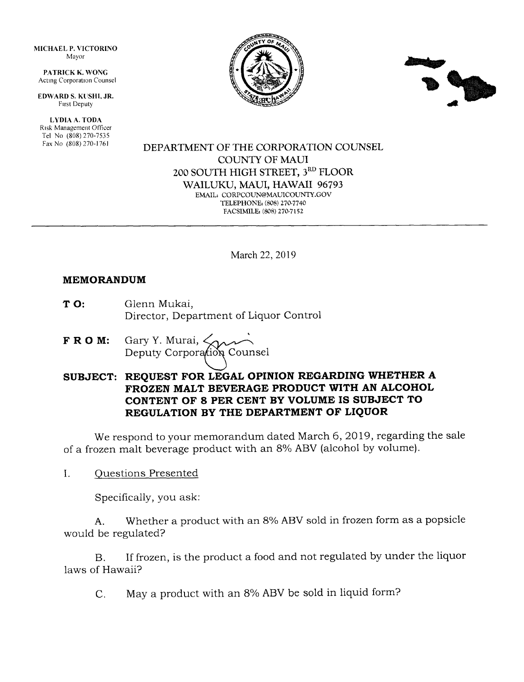MICHAEL P. VICTORINO Mayor

PATRICK K. WONG Acting Corporation Counsel

EDWARD S. KUSHI, JR. Frrst Deputy

LYDIA A. TODA Rrsk Management Otficer Tel No (808) 270-7535 Fax No (808) 270-1761





#### DEPARTMENT OF THE CORPORATION COUNSEL COLINTY OF MAUI 2OO SOUTH HIGH STREET, 3RD FLOOR WAILUKU, MAUI, HAWAII 96793 EMAIL, CORPCOUN@MAUICOUNTY.GOV TELEPHONE, (808) 270.7740 FACSIMILE: (808) 270-7152

March 22,2019

#### MEMORANDUM

- TO: Glenn Mukai, Director, Department of Liquor Control
- **F R O M:** Gary Y. Murai,  $\leq_{\Omega}$ Deputy Corporation Counsel

# SUBJECT: REQUEST FOR LEGAL OPINION REGARDING WHETHER A FROZEN MALT BEVERAGE PRODUCT WITH AN ALCOHOL CONTENT OF 8 PER CENT BY VOLUME IS SUBJECT TO REGULATION BY THE DEPARTMENT OF LIQUOR

We respond to your memorandum dated March 6, 2019, regarding the sale of a frozen malt beverage product with an 8% ABV (alcohol by volume).

L Ouestions Presented

Specifically, you ask:

A. Whether a product with an 8% ABV sold in frozen form as a popsicle would be regulated?

B. If frozen, is the product a food and not regulated by under the liquor laws of Hawaii?

C. May a product with an 8% ABV be sold in liquid form?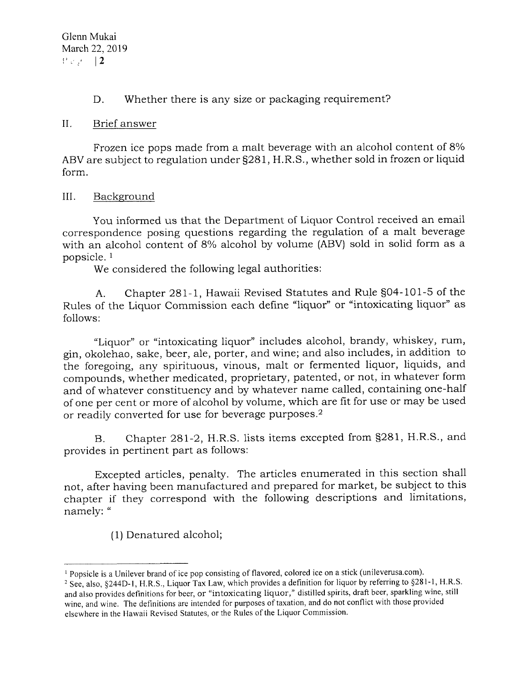D. Whether there is any size or packaging requirement?

### II. Brief answer

Frozen ice pops made from a malt beverage with an alcohol content of 8% ABV are subject to regulation under S281, H.R.S., whether sold in frozen or liquid form.

## III. Background

You informed us that the Department of Liquor Control received an email correspondence posing questions regarding the regulation of a malt beverage with an alcohol content of 8% alcohol by volume (ABV) sold in solid form as a popsicle. <sup>1</sup>

We considered the following legal authorities:

A. Chapter 281-1, Hawaii Revised Statutes and Rule S04-101-5 of the Rules of the Liquor Commission each define "liquor" or "intoxicating liquor" as follows:

"Liquor" or "intoxicating liquor" includes alcohol, brandy, whiskey, rum, gin, okolehao, sake, beer, a1e, porter, and wine; and also includes, in addition to the foregoing, any spirituous, vinous, malt or fermented liquor, liquids, and compounds, whether medicated, proprietary, patented, or not, in whatever form and of whatever constituency and by whatever name called, containing one-haif of one per cent or more of alcohol by volume, which are fit for use or may be used or readily converted for use for beverage purposes.2

B. Chapter 281-2, H.R.S. lists items excepted from S281, H.R.S., and provides in pertinent part as follows:

Excepted articles, penalty. The articles enumerated in this section shall not, after having been manufactured and prepared for market, be subject to this chapter if they correspond with the following descriptions and limitations, namely: "

(1) Denatured alcohol;

<sup>&</sup>lt;sup>1</sup> Popsicle is a Unilever brand of ice pop consisting of flavored, colored ice on a stick (unileverusa.com).

<sup>&</sup>lt;sup>2</sup> See, also, §244D-1, H.R.S., Liquor Tax Law, which provides a definition for liquor by referring to §281-1, H.R.S. and also provides definitions for beer, or "intoxicating liquor," distilled spirits, draft beer, sparkling wine, still wine, and wine. The definitions are intended for purposes of taxation, and do not conflict with those provided elsewhere in the Hawaii Revised Statutes, or the Rules of the Liquor Commission.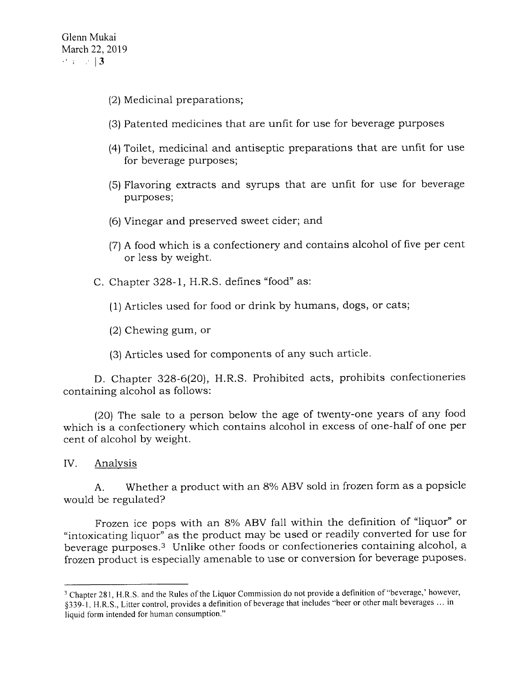- (2) Medicinal preparations;
- (3) Patented medicines that are unfit for use for beverage purposes
- (4) Toilet, medicinal and antiseptic preparations that are unfit for use for beverage purposes;
- (5) Flavoring extracts and syrups that are unfit for use for beverage purposes;
- (6) Vinegar and preserved sweet cider; and
- (7) A food which is a confectionery and contains alcohol of five per cent or less by weight.
- C. Chapter 328-1, H.R.S. defines "food" as:
	- (1) Articles used for food or drink by humans, dogs, or cats;
	- (2) Chewing gum, or
	- (3) Articles used for components of any such article.

D. Chapter 328-6(20), H.R.S. Prohibited acts, prohibits confectioneries containing alcohol as follows:

(20) The sale to a person below the age of twenty-one years of any food which is a confectionery which contains alcohol in excess of one-half of one per cent of alcohol by weight.

IV. Analvsis

A. Whether a product with an 8% ABV sold in frozen form as a popsicle would be regulated?

Frozen ice pops with an 8% ABV fa1l within the definition of "liquor" or "intoxicating liquor" as the product may be used or readily converted for use for beverage purposes.3 Unlike other foods or confectioneries containing alcohol, a frozen product is especially amenable to use or conversion for beverage puposes.

<sup>&</sup>lt;sup>3</sup> Chapter 281, H.R.S. and the Rules of the Liquor Commission do not provide a definition of "beverage,' however, \$33S-t. H.R.S., Litter control, provides a definition of beverage that includes "beer or other malt beverages ... in liquid form intended for human consumption."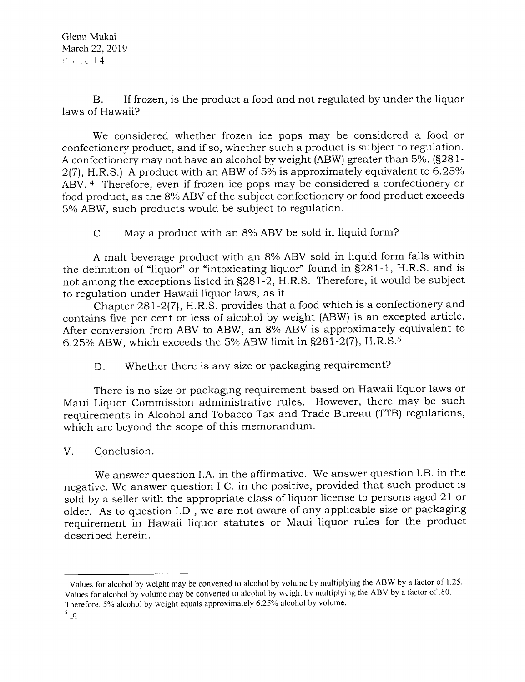B. If frozen, is the product a food and not regulated by under the liquor laws of Hawaii?

We considered whether frozen ice pops may be considered a food or confectionery product, and if so, whether such a product is subject to regulation. A confectionery may not have an alcohol by weight (ABW) greater than 5%. (S281-  $2(7)$ , H.R.S.) A product with an ABW of 5% is approximately equivalent to 6.25% ABV.<sup>4</sup> Therefore, even if frozen ice pops may be considered a confectionery or food product, as the 8% ABV of the subject confectionery or food product exceeds 5% ABW, such products would be subject to regulation.

C. May a product with an 8% ABV be sold in liquid form?

A malt beverage product with an 8% ABV sold in liquid form falls within the definition of "liquor" or "intoxicating liquor" found in S281-1, H.R.S. and is not among the exceptions listed in S281-2, H.R.S. Therefore, it would be subject to regulation under Hawaii liquor 1aws, as it

Chapter 281-2(71, H.R.S. provides that a food which is a confectionery and contains five per cent or less of alcohol by weight (ABW) is an excepted article. After conversion from ABV to ABW, an  $8\%$  ABV is approximately equivalent to 6.25% ABW, which exceeds the 5% ABW limit in  $\S 281-2(7)$ , H.R.S.<sup>5</sup>

D. Whether there is any size or packaging requirement?

There is no size or packaging requirement based on Hawaii liquor laws or Maui Liquor Commission administrative rules. However, there may be such requirements in Alcohol and Tobacco Tax and Trade Bureau (TTB) regulations, which are beyond the scope of this memorandum.

V. Conclusion

We answer question I.A. in the affirmative. We answer question I.B. in the negative. We answer question I.C. in the positive, provided that such product is sold by a seller with the appropriate class of liquor license to persons aged 21 or older. As to question I.D., we are not aware of any applicable size or packaging requirement in Hawaii liquor statutes or Maui liquor rules for the product described herein.

<sup>&</sup>lt;sup>4</sup> Values for alcohol by weight may be converted to alcohol by volume by multiplying the ABW by a factor of 1.25. Values for alcohol by volume may be converted to alcohol by weight by multiplying the ABV by a factor of .80.

Therefore, 5% alcohol by weight equals approximately 6.25% alcohol by volume.

 $<sup>5</sup>$ Id.</sup>